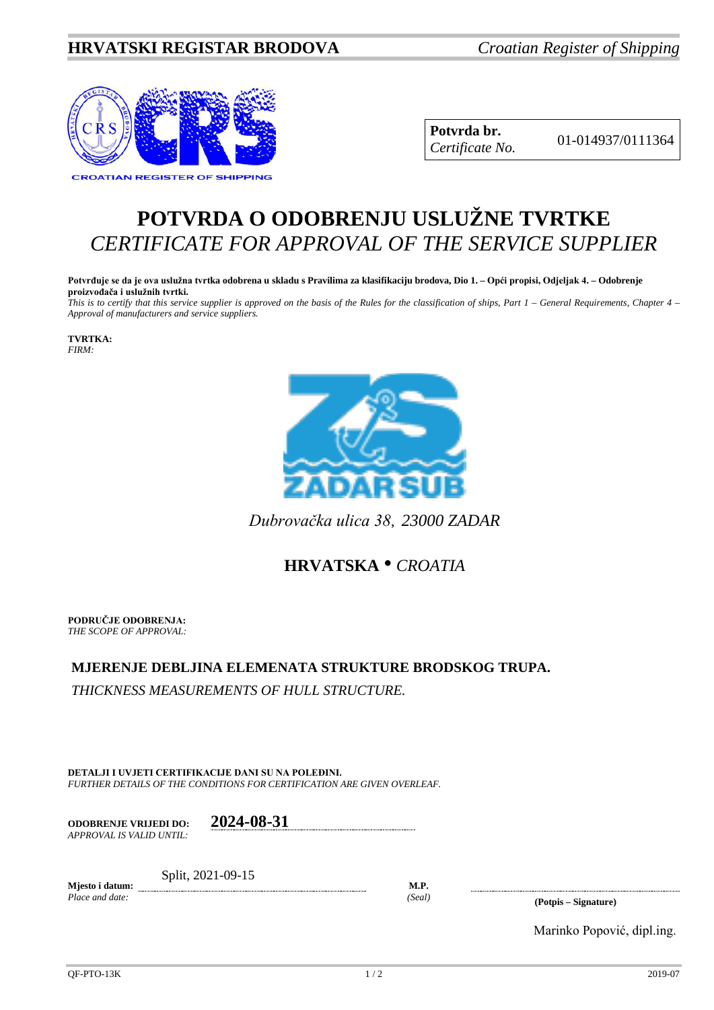## **HRVATSKI REGISTAR BRODOVA** *Croatian Register of Shipping*



**Potvrda br.** 01-014937/0111364 *Certificate No.*

## **POTVRDA O ODOBRENJU USLUŽNE TVRTKE** *CERTIFICATE FOR APPROVAL OF THE SERVICE SUPPLIER*

**Potvrđuje se da je ova uslužna tvrtka odobrena u skladu s Pravilima za klasifikaciju brodova, Dio 1. – Opći propisi, Odjeljak 4. – Odobrenje proizvođača i uslužnih tvrtki.**

*This is to certify that this service supplier is approved on the basis of the Rules for the classification of ships, Part 1 – General Requirements, Chapter 4 – Approval of manufacturers and service suppliers.*

**TVRTKA:** *FIRM:*



*Dubrovačka ulica 38*, *23000 ZADAR*

## **HRVATSKA** • *CROATIA*

**PODRUČJE ODOBRENJA:** *THE SCOPE OF APPROVAL:*

## **MJERENJE DEBLJINA ELEMENATA STRUKTURE BRODSKOG TRUPA.**

*THICKNESS MEASUREMENTS OF HULL STRUCTURE.*

**DETALJI I UVJETI CERTIFIKACIJE DANI SU NA POLEĐINI.** *FURTHER DETAILS OF THE CONDITIONS FOR CERTIFICATION ARE GIVEN OVERLEAF.*

**ODOBRENJE VRIJEDI DO: 2024-08-31** *APPROVAL IS VALID UNTIL:*

**Mjesto i datum:** Split, 2021-09-15

**M.P.**

*Place and date: (Seal)* **(Potpis – Signature)**

Marinko Popović, dipl.ing.